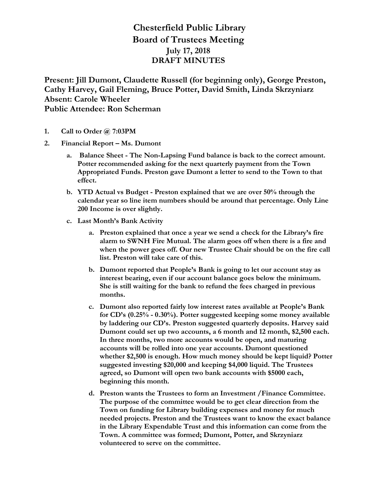## **Chesterfield Public Library Board of Trustees Meeting July 17, 2018 DRAFT MINUTES**

**Present: Jill Dumont, Claudette Russell (for beginning only), George Preston, Cathy Harvey, Gail Fleming, Bruce Potter, David Smith, Linda Skrzyniarz Absent: Carole Wheeler Public Attendee: Ron Scherman**

- **1. Call to Order @ 7:03PM**
- **2. Financial Report – Ms. Dumont**
	- **a. Balance Sheet - The Non-Lapsing Fund balance is back to the correct amount. Potter recommended asking for the next quarterly payment from the Town Appropriated Funds. Preston gave Dumont a letter to send to the Town to that effect.**
	- **b. YTD Actual vs Budget - Preston explained that we are over 50% through the calendar year so line item numbers should be around that percentage. Only Line 200 Income is over slightly.**
	- **c. Last Month's Bank Activity**
		- **a. Preston explained that once a year we send a check for the Library's fire alarm to SWNH Fire Mutual. The alarm goes off when there is a fire and when the power goes off. Our new Trustee Chair should be on the fire call list. Preston will take care of this.**
		- **b. Dumont reported that People's Bank is going to let our account stay as interest bearing, even if our account balance goes below the minimum. She is still waiting for the bank to refund the fees charged in previous months.**
		- **c. Dumont also reported fairly low interest rates available at People's Bank for CD's (0.25% - 0.30%). Potter suggested keeping some money available by laddering our CD's. Preston suggested quarterly deposits. Harvey said Dumont could set up two accounts, a 6 month and 12 month, \$2,500 each. In three months, two more accounts would be open, and maturing accounts will be rolled into one year accounts. Dumont questioned whether \$2,500 is enough. How much money should be kept liquid? Potter suggested investing \$20,000 and keeping \$4,000 liquid. The Trustees agreed, so Dumont will open two bank accounts with \$5000 each, beginning this month.**
		- **d. Preston wants the Trustees to form an Investment /Finance Committee. The purpose of the committee would be to get clear direction from the Town on funding for Library building expenses and money for much needed projects. Preston and the Trustees want to know the exact balance in the Library Expendable Trust and this information can come from the Town. A committee was formed; Dumont, Potter, and Skrzyniarz volunteered to serve on the committee.**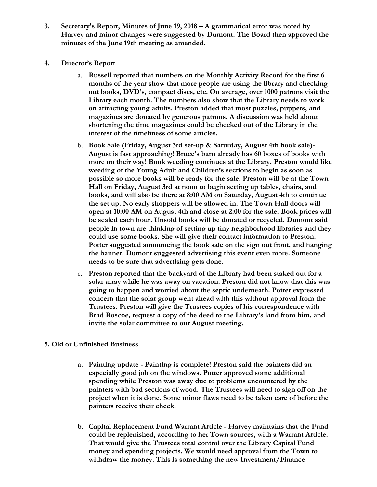- **3. Secretary's Report, Minutes of June 19, 2018 – A grammatical error was noted by Harvey and minor changes were suggested by Dumont. The Board then approved the minutes of the June 19th meeting as amended.**
- **4. Director's Report**
	- a. **Russell reported that numbers on the Monthly Activity Record for the first 6 months of the year show that more people are using the library and checking out books, DVD's, compact discs, etc. On average, over 1000 patrons visit the Library each month. The numbers also show that the Library needs to work on attracting young adults. Preston added that most puzzles, puppets, and magazines are donated by generous patrons. A discussion was held about shortening the time magazines could be checked out of the Library in the interest of the timeliness of some articles.**
	- b. **Book Sale (Friday, August 3rd set-up & Saturday, August 4th book sale)- August is fast approaching! Bruce's barn already has 60 boxes of books with more on their way! Book weeding continues at the Library. Preston would like weeding of the Young Adult and Children's sections to begin as soon as possible so more books will be ready for the sale. Preston will be at the Town Hall on Friday, August 3rd at noon to begin setting up tables, chairs, and books, and will also be there at 8:00 AM on Saturday, August 4th to continue the set up. No early shoppers will be allowed in. The Town Hall doors will open at 10:00 AM on August 4th and close at 2:00 for the sale. Book prices will be scaled each hour. Unsold books will be donated or recycled. Dumont said people in town are thinking of setting up tiny neighborhood libraries and they could use some books. She will give their contact information to Preston. Potter suggested announcing the book sale on the sign out front, and hanging the banner. Dumont suggested advertising this event even more. Someone needs to be sure that advertising gets done.**
	- c. **Preston reported that the backyard of the Library had been staked out for a solar array while he was away on vacation. Preston did not know that this was going to happen and worried about the septic underneath. Potter expressed concern that the solar group went ahead with this without approval from the Trustees. Preston will give the Trustees copies of his correspondence with Brad Roscoe, request a copy of the deed to the Library's land from him, and invite the solar committee to our August meeting.**
- **5. Old or Unfinished Business**
	- **a. Painting update - Painting is complete! Preston said the painters did an especially good job on the windows. Potter approved some additional spending while Preston was away due to problems encountered by the painters with bad sections of wood. The Trustees will need to sign off on the project when it is done. Some minor flaws need to be taken care of before the painters receive their check.**
	- **b. Capital Replacement Fund Warrant Article - Harvey maintains that the Fund could be replenished, according to her Town sources, with a Warrant Article. That would give the Trustees total control over the Library Capital Fund money and spending projects. We would need approval from the Town to withdraw the money. This is something the new Investment/Finance**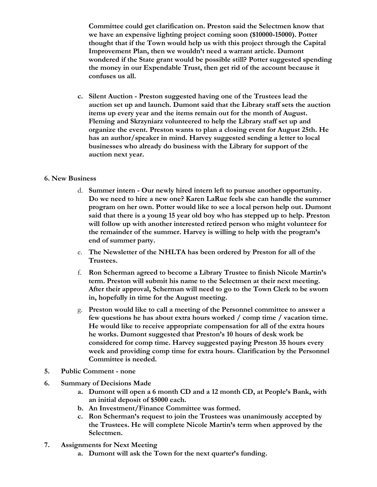**Committee could get clarification on. Preston said the Selectmen know that we have an expensive lighting project coming soon (\$10000-15000). Potter thought that if the Town would help us with this project through the Capital Improvement Plan, then we wouldn't need a warrant article. Dumont wondered if the State grant would be possible still? Potter suggested spending the money in our Expendable Trust, then get rid of the account because it confuses us all.**

**c. Silent Auction - Preston suggested having one of the Trustees lead the auction set up and launch. Dumont said that the Library staff sets the auction items up every year and the items remain out for the month of August. Fleming and Skrzyniarz volunteered to help the Library staff set up and organize the event. Preston wants to plan a closing event for August 25th. He has an author/speaker in mind. Harvey suggested sending a letter to local businesses who already do business with the Library for support of the auction next year.**

## **6. New Business**

- d. **Summer intern - Our newly hired intern left to pursue another opportunity. Do we need to hire a new one? Karen LaRue feels she can handle the summer program on her own. Potter would like to see a local person help out. Dumont said that there is a young 15 year old boy who has stepped up to help. Preston will follow up with another interested retired person who might volunteer for the remainder of the summer. Harvey is willing to help with the program's end of summer party.**
- e. **The Newsletter of the NHLTA has been ordered by Preston for all of the Trustees.**
- f. **Ron Scherman agreed to become a Library Trustee to finish Nicole Martin's term. Preston will submit his name to the Selectmen at their next meeting. After their approval, Scherman will need to go to the Town Clerk to be sworn in, hopefully in time for the August meeting.**
- g. **Preston would like to call a meeting of the Personnel committee to answer a few questions he has about extra hours worked / comp time / vacation time. He would like to receive appropriate compensation for all of the extra hours he works. Dumont suggested that Preston's 10 hours of desk work be considered for comp time. Harvey suggested paying Preston 35 hours every week and providing comp time for extra hours. Clarification by the Personnel Committee is needed.**
- **5. Public Comment - none**
- **6. Summary of Decisions Made**
	- **a. Dumont will open a 6 month CD and a 12 month CD, at People's Bank, with an initial deposit of \$5000 each.**
	- **b. An Investment/Finance Committee was formed.**
	- **c. Ron Scherman's request to join the Trustees was unanimously accepted by the Trustees. He will complete Nicole Martin's term when approved by the Selectmen.**
- **7. Assignments for Next Meeting**
	- **a. Dumont will ask the Town for the next quarter's funding.**